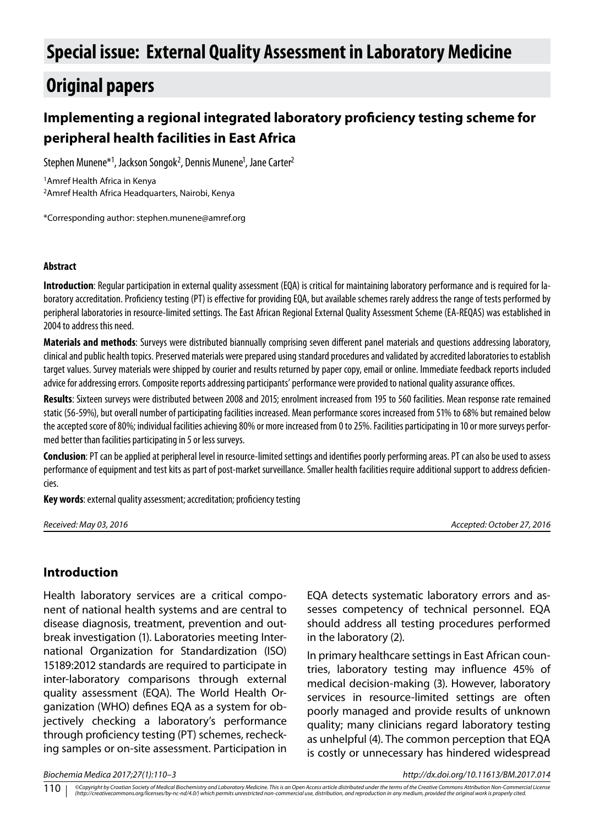# **Special issue: External Quality Assessment in Laboratory Medicine**

# **Original papers**

# **Implementing a regional integrated laboratory proficiency testing scheme for peripheral health facilities in East Africa**

Stephen Munene\*<sup>1</sup>, Jackson Songok<sup>2</sup>, Dennis Munene<sup>1</sup>, Jane Carter<sup>2</sup>

1Amref Health Africa in Kenya 2Amref Health Africa Headquarters, Nairobi, Kenya

\*Corresponding author: stephen.munene@amref.org

#### **Abstract**

**Introduction**: Regular participation in external quality assessment (EQA) is critical for maintaining laboratory performance and is required for laboratory accreditation. Proficiency testing (PT) is effective for providing EQA, but available schemes rarely address the range of tests performed by peripheral laboratories in resource-limited settings. The East African Regional External Quality Assessment Scheme (EA-REQAS) was established in 2004 to address this need.

**Materials and methods**: Surveys were distributed biannually comprising seven different panel materials and questions addressing laboratory, clinical and public health topics. Preserved materials were prepared using standard procedures and validated by accredited laboratories to establish target values. Survey materials were shipped by courier and results returned by paper copy, email or online. Immediate feedback reports included advice for addressing errors. Composite reports addressing participants' performance were provided to national quality assurance offices.

**Results**: Sixteen surveys were distributed between 2008 and 2015; enrolment increased from 195 to 560 facilities. Mean response rate remained static (56-59%), but overall number of participating facilities increased. Mean performance scores increased from 51% to 68% but remained below the accepted score of 80%; individual facilities achieving 80% or more increased from 0 to 25%. Facilities participating in 10 or more surveys performed better than facilities participating in 5 or less surveys.

**Conclusion**: PT can be applied at peripheral level in resource-limited settings and identifies poorly performing areas. PT can also be used to assess performance of equipment and test kits as part of post-market surveillance. Smaller health facilities require additional support to address deficiencies.

**Key words**: external quality assessment; accreditation; proficiency testing

*Received: May 03, 2016 Accepted: October 27, 2016*

### **Introduction**

Health laboratory services are a critical component of national health systems and are central to disease diagnosis, treatment, prevention and outbreak investigation (1). Laboratories meeting International Organization for Standardization (ISO) 15189:2012 standards are required to participate in inter-laboratory comparisons through external quality assessment (EQA). The World Health Organization (WHO) defines EQA as a system for objectively checking a laboratory's performance through proficiency testing (PT) schemes, rechecking samples or on-site assessment. Participation in EQA detects systematic laboratory errors and assesses competency of technical personnel. EQA should address all testing procedures performed in the laboratory (2).

In primary healthcare settings in East African countries, laboratory testing may influence 45% of medical decision-making (3). However, laboratory services in resource-limited settings are often poorly managed and provide results of unknown quality; many clinicians regard laboratory testing as unhelpful (4). The common perception that EQA is costly or unnecessary has hindered widespread

*Biochemia Medica 2017;27(1):110–3 http://dx.doi.org/10.11613/BM.2017.014*

©Copyright by Croatian Society of Medical Biochemistry and Laboratory Medicine. This is an Open Access article distributed under the terms of the Creative Commons Attribution Non-Commercial License<br>(http://creativecommons. 110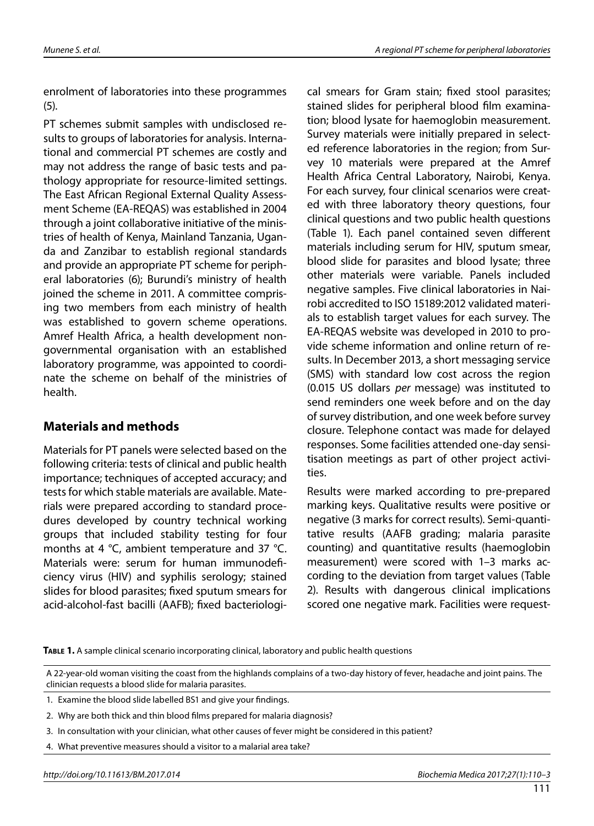enrolment of laboratories into these programmes (5).

PT schemes submit samples with undisclosed results to groups of laboratories for analysis. International and commercial PT schemes are costly and may not address the range of basic tests and pathology appropriate for resource-limited settings. The East African Regional External Quality Assessment Scheme (EA-REQAS) was established in 2004 through a joint collaborative initiative of the ministries of health of Kenya, Mainland Tanzania, Uganda and Zanzibar to establish regional standards and provide an appropriate PT scheme for peripheral laboratories (6); Burundi's ministry of health joined the scheme in 2011. A committee comprising two members from each ministry of health was established to govern scheme operations. Amref Health Africa, a health development nongovernmental organisation with an established laboratory programme, was appointed to coordinate the scheme on behalf of the ministries of health.

## **Materials and methods**

Materials for PT panels were selected based on the following criteria: tests of clinical and public health importance; techniques of accepted accuracy; and tests for which stable materials are available. Materials were prepared according to standard procedures developed by country technical working groups that included stability testing for four months at 4 °C, ambient temperature and 37 °C. Materials were: serum for human immunodeficiency virus (HIV) and syphilis serology; stained slides for blood parasites; fixed sputum smears for acid-alcohol-fast bacilli (AAFB); fixed bacteriological smears for Gram stain; fixed stool parasites; stained slides for peripheral blood film examination; blood lysate for haemoglobin measurement. Survey materials were initially prepared in selected reference laboratories in the region; from Survey 10 materials were prepared at the Amref Health Africa Central Laboratory, Nairobi, Kenya. For each survey, four clinical scenarios were created with three laboratory theory questions, four clinical questions and two public health questions (Table 1). Each panel contained seven different materials including serum for HIV, sputum smear, blood slide for parasites and blood lysate; three other materials were variable. Panels included negative samples. Five clinical laboratories in Nairobi accredited to ISO 15189:2012 validated materials to establish target values for each survey. The EA-REQAS website was developed in 2010 to provide scheme information and online return of results. In December 2013, a short messaging service (SMS) with standard low cost across the region (0.015 US dollars *per* message) was instituted to send reminders one week before and on the day of survey distribution, and one week before survey closure. Telephone contact was made for delayed responses. Some facilities attended one-day sensitisation meetings as part of other project activities.

Results were marked according to pre-prepared marking keys. Qualitative results were positive or negative (3 marks for correct results). Semi-quantitative results (AAFB grading; malaria parasite counting) and quantitative results (haemoglobin measurement) were scored with 1–3 marks according to the deviation from target values (Table 2). Results with dangerous clinical implications scored one negative mark. Facilities were request-

**Table 1.** A sample clinical scenario incorporating clinical, laboratory and public health questions

A 22-year-old woman visiting the coast from the highlands complains of a two-day history of fever, headache and joint pains. The clinician requests a blood slide for malaria parasites.

<sup>1.</sup> Examine the blood slide labelled BS1 and give your findings.

<sup>2.</sup> Why are both thick and thin blood films prepared for malaria diagnosis?

<sup>3.</sup> In consultation with your clinician, what other causes of fever might be considered in this patient?

<sup>4.</sup> What preventive measures should a visitor to a malarial area take?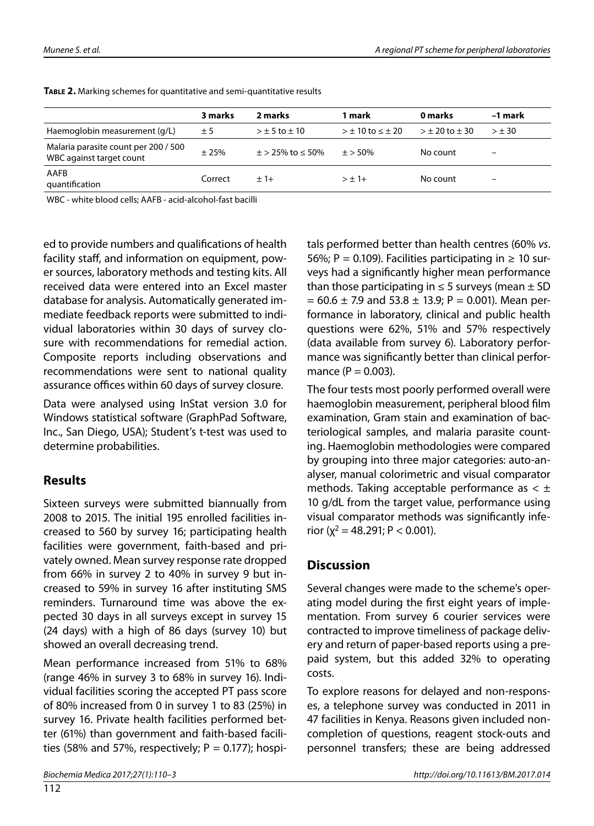|                                                                  | 3 marks | 2 marks                   | 1 mark                      | 0 marks          | -1 mark |
|------------------------------------------------------------------|---------|---------------------------|-----------------------------|------------------|---------|
| Haemoglobin measurement (g/L)                                    | ± 5     | $> \pm 5$ to $\pm 10$     | $> \pm 10$ to $\leq \pm 20$ | $> +20$ to $+30$ | $> +30$ |
| Malaria parasite count per 200 / 500<br>WBC against target count | ± 25%   | $\pm$ > 25% to $\leq$ 50% | $+$ > 50%                   | No count         |         |
| AAFB<br>quantification                                           | Correct | $+1+$                     | $> +1+$                     | No count         | -       |

**Table 2.** Marking schemes for quantitative and semi-quantitative results

WBC - white blood cells; AAFB - acid-alcohol-fast bacilli

ed to provide numbers and qualifications of health facility staff, and information on equipment, power sources, laboratory methods and testing kits. All received data were entered into an Excel master database for analysis. Automatically generated immediate feedback reports were submitted to individual laboratories within 30 days of survey closure with recommendations for remedial action. Composite reports including observations and recommendations were sent to national quality assurance offices within 60 days of survey closure.

Data were analysed using InStat version 3.0 for Windows statistical software (GraphPad Software, Inc., San Diego, USA); Student's t-test was used to determine probabilities.

### **Results**

Sixteen surveys were submitted biannually from 2008 to 2015. The initial 195 enrolled facilities increased to 560 by survey 16; participating health facilities were government, faith-based and privately owned. Mean survey response rate dropped from 66% in survey 2 to 40% in survey 9 but increased to 59% in survey 16 after instituting SMS reminders. Turnaround time was above the expected 30 days in all surveys except in survey 15 (24 days) with a high of 86 days (survey 10) but showed an overall decreasing trend.

Mean performance increased from 51% to 68% (range 46% in survey 3 to 68% in survey 16). Individual facilities scoring the accepted PT pass score of 80% increased from 0 in survey 1 to 83 (25%) in survey 16. Private health facilities performed better (61%) than government and faith-based facilities (58% and 57%, respectively;  $P = 0.177$ ); hospitals performed better than health centres (60% *vs*. 56%; P = 0.109). Facilities participating in  $\geq 10$  surveys had a significantly higher mean performance than those participating in  $\leq$  5 surveys (mean  $\pm$  SD  $= 60.6 \pm 7.9$  and 53.8  $\pm$  13.9; P = 0.001). Mean performance in laboratory, clinical and public health questions were 62%, 51% and 57% respectively (data available from survey 6). Laboratory performance was significantly better than clinical performance ( $P = 0.003$ ).

The four tests most poorly performed overall were haemoglobin measurement, peripheral blood film examination, Gram stain and examination of bacteriological samples, and malaria parasite counting. Haemoglobin methodologies were compared by grouping into three major categories: auto-analyser, manual colorimetric and visual comparator methods. Taking acceptable performance as  $< \pm$ 10 g/dL from the target value, performance using visual comparator methods was significantly inferior ( $\chi^2$  = 48.291; P < 0.001).

### **Discussion**

Several changes were made to the scheme's operating model during the first eight years of implementation. From survey 6 courier services were contracted to improve timeliness of package delivery and return of paper-based reports using a prepaid system, but this added 32% to operating costs.

To explore reasons for delayed and non-responses, a telephone survey was conducted in 2011 in 47 facilities in Kenya. Reasons given included noncompletion of questions, reagent stock-outs and personnel transfers; these are being addressed